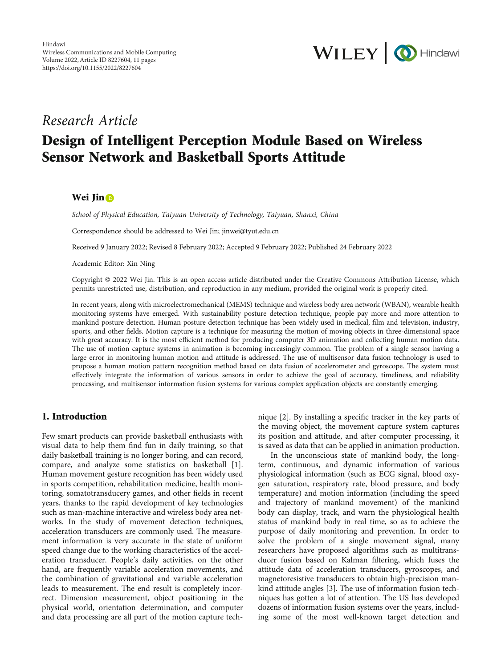

# Research Article

# Design of Intelligent Perception Module Based on Wireless Sensor Network and Basketball Sports Attitude

## Wei Jin **D**

School of Physical Education, Taiyuan University of Technology, Taiyuan, Shanxi, China

Correspondence should be addressed to Wei Jin; jinwei@tyut.edu.cn

Received 9 January 2022; Revised 8 February 2022; Accepted 9 February 2022; Published 24 February 2022

Academic Editor: Xin Ning

Copyright © 2022 Wei Jin. This is an open access article distributed under the [Creative Commons Attribution License](https://creativecommons.org/licenses/by/4.0/), which permits unrestricted use, distribution, and reproduction in any medium, provided the original work is properly cited.

In recent years, along with microelectromechanical (MEMS) technique and wireless body area network (WBAN), wearable health monitoring systems have emerged. With sustainability posture detection technique, people pay more and more attention to mankind posture detection. Human posture detection technique has been widely used in medical, film and television, industry, sports, and other fields. Motion capture is a technique for measuring the motion of moving objects in three-dimensional space with great accuracy. It is the most efficient method for producing computer 3D animation and collecting human motion data. The use of motion capture systems in animation is becoming increasingly common. The problem of a single sensor having a large error in monitoring human motion and attitude is addressed. The use of multisensor data fusion technology is used to propose a human motion pattern recognition method based on data fusion of accelerometer and gyroscope. The system must effectively integrate the information of various sensors in order to achieve the goal of accuracy, timeliness, and reliability processing, and multisensor information fusion systems for various complex application objects are constantly emerging.

# 1. Introduction

Few smart products can provide basketball enthusiasts with visual data to help them find fun in daily training, so that daily basketball training is no longer boring, and can record, compare, and analyze some statistics on basketball [[1](#page-9-0)]. Human movement gesture recognition has been widely used in sports competition, rehabilitation medicine, health monitoring, somatotransducery games, and other fields in recent years, thanks to the rapid development of key technologies such as man-machine interactive and wireless body area networks. In the study of movement detection techniques, acceleration transducers are commonly used. The measurement information is very accurate in the state of uniform speed change due to the working characteristics of the acceleration transducer. People's daily activities, on the other hand, are frequently variable acceleration movements, and the combination of gravitational and variable acceleration leads to measurement. The end result is completely incorrect. Dimension measurement, object positioning in the physical world, orientation determination, and computer and data processing are all part of the motion capture technique [\[2\]](#page-9-0). By installing a specific tracker in the key parts of the moving object, the movement capture system captures its position and attitude, and after computer processing, it is saved as data that can be applied in animation production.

In the unconscious state of mankind body, the longterm, continuous, and dynamic information of various physiological information (such as ECG signal, blood oxygen saturation, respiratory rate, blood pressure, and body temperature) and motion information (including the speed and trajectory of mankind movement) of the mankind body can display, track, and warn the physiological health status of mankind body in real time, so as to achieve the purpose of daily monitoring and prevention. In order to solve the problem of a single movement signal, many researchers have proposed algorithms such as multitransducer fusion based on Kalman filtering, which fuses the attitude data of acceleration transducers, gyroscopes, and magnetoresistive transducers to obtain high-precision mankind attitude angles [[3\]](#page-9-0). The use of information fusion techniques has gotten a lot of attention. The US has developed dozens of information fusion systems over the years, including some of the most well-known target detection and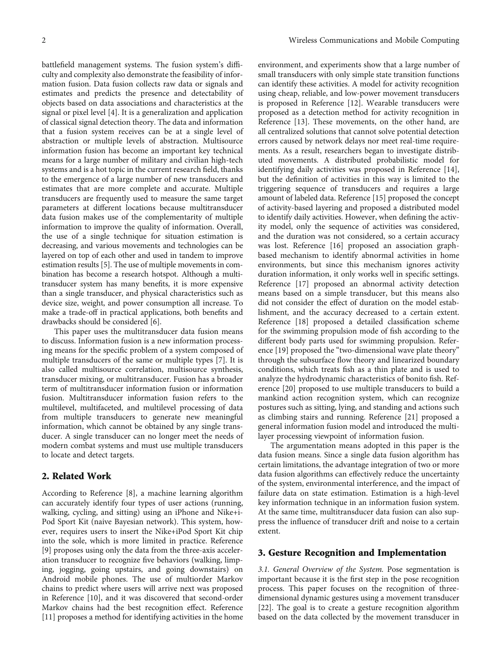battlefield management systems. The fusion system's difficulty and complexity also demonstrate the feasibility of information fusion. Data fusion collects raw data or signals and estimates and predicts the presence and detectability of objects based on data associations and characteristics at the signal or pixel level [[4](#page-9-0)]. It is a generalization and application of classical signal detection theory. The data and information that a fusion system receives can be at a single level of abstraction or multiple levels of abstraction. Multisource information fusion has become an important key technical means for a large number of military and civilian high-tech systems and is a hot topic in the current research field, thanks to the emergence of a large number of new transducers and estimates that are more complete and accurate. Multiple transducers are frequently used to measure the same target parameters at different locations because multitransducer data fusion makes use of the complementarity of multiple information to improve the quality of information. Overall, the use of a single technique for situation estimation is decreasing, and various movements and technologies can be layered on top of each other and used in tandem to improve estimation results [[5\]](#page-9-0). The use of multiple movements in combination has become a research hotspot. Although a multitransducer system has many benefits, it is more expensive than a single transducer, and physical characteristics such as device size, weight, and power consumption all increase. To make a trade-off in practical applications, both benefits and drawbacks should be considered [\[6\]](#page-10-0).

This paper uses the multitransducer data fusion means to discuss. Information fusion is a new information processing means for the specific problem of a system composed of multiple transducers of the same or multiple types [[7](#page-10-0)]. It is also called multisource correlation, multisource synthesis, transducer mixing, or multitransducer. Fusion has a broader term of multitransducer information fusion or information fusion. Multitransducer information fusion refers to the multilevel, multifaceted, and multilevel processing of data from multiple transducers to generate new meaningful information, which cannot be obtained by any single transducer. A single transducer can no longer meet the needs of modern combat systems and must use multiple transducers to locate and detect targets.

## 2. Related Work

According to Reference [\[8\]](#page-10-0), a machine learning algorithm can accurately identify four types of user actions (running, walking, cycling, and sitting) using an iPhone and Nike+i-Pod Sport Kit (naive Bayesian network). This system, however, requires users to insert the Nike+iPod Sport Kit chip into the sole, which is more limited in practice. Reference [\[9](#page-10-0)] proposes using only the data from the three-axis acceleration transducer to recognize five behaviors (walking, limping, jogging, going upstairs, and going downstairs) on Android mobile phones. The use of multiorder Markov chains to predict where users will arrive next was proposed in Reference [[10](#page-10-0)], and it was discovered that second-order Markov chains had the best recognition effect. Reference [\[11](#page-10-0)] proposes a method for identifying activities in the home

environment, and experiments show that a large number of small transducers with only simple state transition functions can identify these activities. A model for activity recognition using cheap, reliable, and low-power movement transducers is proposed in Reference [\[12\]](#page-10-0). Wearable transducers were proposed as a detection method for activity recognition in Reference [[13](#page-10-0)]. These movements, on the other hand, are all centralized solutions that cannot solve potential detection errors caused by network delays nor meet real-time requirements. As a result, researchers began to investigate distributed movements. A distributed probabilistic model for identifying daily activities was proposed in Reference [[14](#page-10-0)], but the definition of activities in this way is limited to the triggering sequence of transducers and requires a large amount of labeled data. Reference [\[15\]](#page-10-0) proposed the concept of activity-based layering and proposed a distributed model to identify daily activities. However, when defining the activity model, only the sequence of activities was considered, and the duration was not considered, so a certain accuracy was lost. Reference [\[16\]](#page-10-0) proposed an association graphbased mechanism to identify abnormal activities in home environments, but since this mechanism ignores activity duration information, it only works well in specific settings. Reference [\[17\]](#page-10-0) proposed an abnormal activity detection means based on a simple transducer, but this means also did not consider the effect of duration on the model establishment, and the accuracy decreased to a certain extent. Reference [[18](#page-10-0)] proposed a detailed classification scheme for the swimming propulsion mode of fish according to the different body parts used for swimming propulsion. Reference [[19](#page-10-0)] proposed the "two-dimensional wave plate theory" through the subsurface flow theory and linearized boundary conditions, which treats fish as a thin plate and is used to analyze the hydrodynamic characteristics of bonito fish. Reference [\[20\]](#page-10-0) proposed to use multiple transducers to build a mankind action recognition system, which can recognize postures such as sitting, lying, and standing and actions such as climbing stairs and running. Reference [[21](#page-10-0)] proposed a general information fusion model and introduced the multilayer processing viewpoint of information fusion.

The argumentation means adopted in this paper is the data fusion means. Since a single data fusion algorithm has certain limitations, the advantage integration of two or more data fusion algorithms can effectively reduce the uncertainty of the system, environmental interference, and the impact of failure data on state estimation. Estimation is a high-level key information technique in an information fusion system. At the same time, multitransducer data fusion can also suppress the influence of transducer drift and noise to a certain extent.

### 3. Gesture Recognition and Implementation

3.1. General Overview of the System. Pose segmentation is important because it is the first step in the pose recognition process. This paper focuses on the recognition of threedimensional dynamic gestures using a movement transducer [\[22\]](#page-10-0). The goal is to create a gesture recognition algorithm based on the data collected by the movement transducer in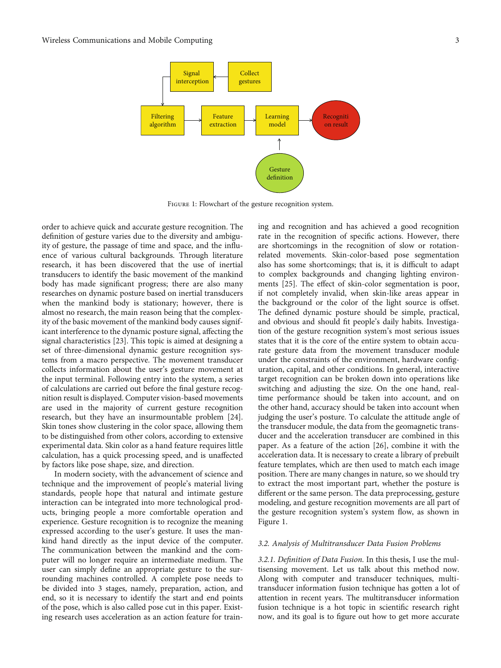

Figure 1: Flowchart of the gesture recognition system.

order to achieve quick and accurate gesture recognition. The definition of gesture varies due to the diversity and ambiguity of gesture, the passage of time and space, and the influence of various cultural backgrounds. Through literature research, it has been discovered that the use of inertial transducers to identify the basic movement of the mankind body has made significant progress; there are also many researches on dynamic posture based on inertial transducers when the mankind body is stationary; however, there is almost no research, the main reason being that the complexity of the basic movement of the mankind body causes significant interference to the dynamic posture signal, affecting the signal characteristics [[23](#page-10-0)]. This topic is aimed at designing a set of three-dimensional dynamic gesture recognition systems from a macro perspective. The movement transducer collects information about the user's gesture movement at the input terminal. Following entry into the system, a series of calculations are carried out before the final gesture recognition result is displayed. Computer vision-based movements are used in the majority of current gesture recognition research, but they have an insurmountable problem [[24](#page-10-0)]. Skin tones show clustering in the color space, allowing them to be distinguished from other colors, according to extensive experimental data. Skin color as a hand feature requires little calculation, has a quick processing speed, and is unaffected by factors like pose shape, size, and direction.

In modern society, with the advancement of science and technique and the improvement of people's material living standards, people hope that natural and intimate gesture interaction can be integrated into more technological products, bringing people a more comfortable operation and experience. Gesture recognition is to recognize the meaning expressed according to the user's gesture. It uses the mankind hand directly as the input device of the computer. The communication between the mankind and the computer will no longer require an intermediate medium. The user can simply define an appropriate gesture to the surrounding machines controlled. A complete pose needs to be divided into 3 stages, namely, preparation, action, and end, so it is necessary to identify the start and end points of the pose, which is also called pose cut in this paper. Existing research uses acceleration as an action feature for train-

ing and recognition and has achieved a good recognition rate in the recognition of specific actions. However, there are shortcomings in the recognition of slow or rotationrelated movements. Skin-color-based pose segmentation also has some shortcomings; that is, it is difficult to adapt to complex backgrounds and changing lighting environments [[25](#page-10-0)]. The effect of skin-color segmentation is poor, if not completely invalid, when skin-like areas appear in the background or the color of the light source is offset. The defined dynamic posture should be simple, practical, and obvious and should fit people's daily habits. Investigation of the gesture recognition system's most serious issues states that it is the core of the entire system to obtain accurate gesture data from the movement transducer module under the constraints of the environment, hardware configuration, capital, and other conditions. In general, interactive target recognition can be broken down into operations like switching and adjusting the size. On the one hand, realtime performance should be taken into account, and on the other hand, accuracy should be taken into account when judging the user's posture. To calculate the attitude angle of the transducer module, the data from the geomagnetic transducer and the acceleration transducer are combined in this paper. As a feature of the action [[26\]](#page-10-0), combine it with the acceleration data. It is necessary to create a library of prebuilt feature templates, which are then used to match each image position. There are many changes in nature, so we should try to extract the most important part, whether the posture is different or the same person. The data preprocessing, gesture modeling, and gesture recognition movements are all part of the gesture recognition system's system flow, as shown in Figure 1.

#### 3.2. Analysis of Multitransducer Data Fusion Problems

3.2.1. Definition of Data Fusion. In this thesis, I use the multisensing movement. Let us talk about this method now. Along with computer and transducer techniques, multitransducer information fusion technique has gotten a lot of attention in recent years. The multitransducer information fusion technique is a hot topic in scientific research right now, and its goal is to figure out how to get more accurate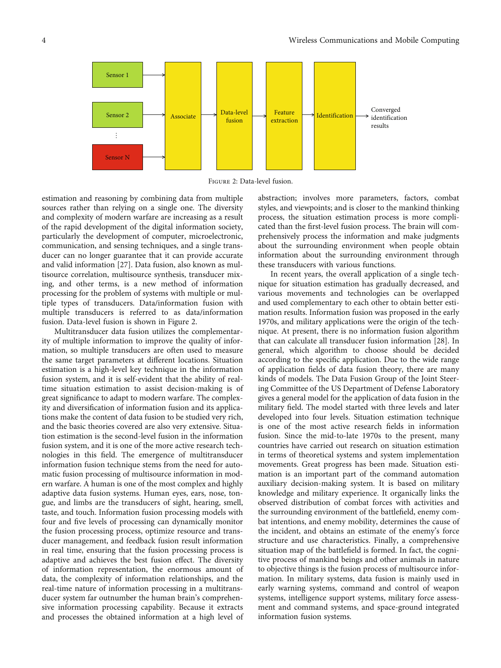

Figure 2: Data-level fusion.

estimation and reasoning by combining data from multiple sources rather than relying on a single one. The diversity and complexity of modern warfare are increasing as a result of the rapid development of the digital information society, particularly the development of computer, microelectronic, communication, and sensing techniques, and a single transducer can no longer guarantee that it can provide accurate and valid information [[27](#page-10-0)]. Data fusion, also known as multisource correlation, multisource synthesis, transducer mixing, and other terms, is a new method of information processing for the problem of systems with multiple or multiple types of transducers. Data/information fusion with multiple transducers is referred to as data/information fusion. Data-level fusion is shown in Figure 2.

Multitransducer data fusion utilizes the complementarity of multiple information to improve the quality of information, so multiple transducers are often used to measure the same target parameters at different locations. Situation estimation is a high-level key technique in the information fusion system, and it is self-evident that the ability of realtime situation estimation to assist decision-making is of great significance to adapt to modern warfare. The complexity and diversification of information fusion and its applications make the content of data fusion to be studied very rich, and the basic theories covered are also very extensive. Situation estimation is the second-level fusion in the information fusion system, and it is one of the more active research technologies in this field. The emergence of multitransducer information fusion technique stems from the need for automatic fusion processing of multisource information in modern warfare. A human is one of the most complex and highly adaptive data fusion systems. Human eyes, ears, nose, tongue, and limbs are the transducers of sight, hearing, smell, taste, and touch. Information fusion processing models with four and five levels of processing can dynamically monitor the fusion processing process, optimize resource and transducer management, and feedback fusion result information in real time, ensuring that the fusion processing process is adaptive and achieves the best fusion effect. The diversity of information representation, the enormous amount of data, the complexity of information relationships, and the real-time nature of information processing in a multitransducer system far outnumber the human brain's comprehensive information processing capability. Because it extracts and processes the obtained information at a high level of abstraction; involves more parameters, factors, combat styles, and viewpoints; and is closer to the mankind thinking process, the situation estimation process is more complicated than the first-level fusion process. The brain will comprehensively process the information and make judgments about the surrounding environment when people obtain information about the surrounding environment through these transducers with various functions.

In recent years, the overall application of a single technique for situation estimation has gradually decreased, and various movements and technologies can be overlapped and used complementary to each other to obtain better estimation results. Information fusion was proposed in the early 1970s, and military applications were the origin of the technique. At present, there is no information fusion algorithm that can calculate all transducer fusion information [[28\]](#page-10-0). In general, which algorithm to choose should be decided according to the specific application. Due to the wide range of application fields of data fusion theory, there are many kinds of models. The Data Fusion Group of the Joint Steering Committee of the US Department of Defense Laboratory gives a general model for the application of data fusion in the military field. The model started with three levels and later developed into four levels. Situation estimation technique is one of the most active research fields in information fusion. Since the mid-to-late 1970s to the present, many countries have carried out research on situation estimation in terms of theoretical systems and system implementation movements. Great progress has been made. Situation estimation is an important part of the command automation auxiliary decision-making system. It is based on military knowledge and military experience. It organically links the observed distribution of combat forces with activities and the surrounding environment of the battlefield, enemy combat intentions, and enemy mobility, determines the cause of the incident, and obtains an estimate of the enemy's force structure and use characteristics. Finally, a comprehensive situation map of the battlefield is formed. In fact, the cognitive process of mankind beings and other animals in nature to objective things is the fusion process of multisource information. In military systems, data fusion is mainly used in early warning systems, command and control of weapon systems, intelligence support systems, military force assessment and command systems, and space-ground integrated information fusion systems.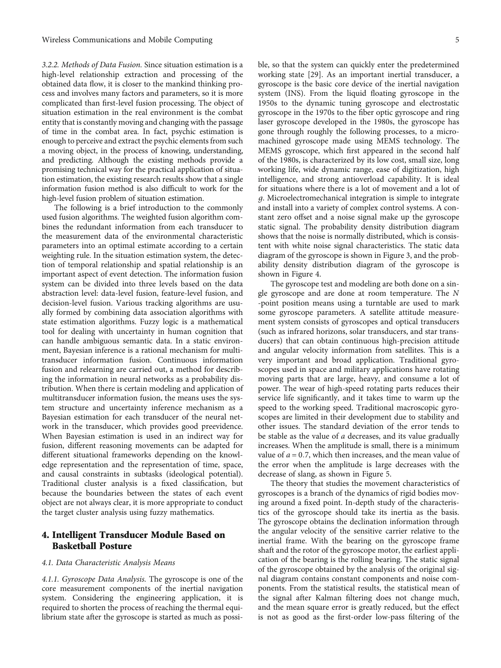3.2.2. Methods of Data Fusion. Since situation estimation is a high-level relationship extraction and processing of the obtained data flow, it is closer to the mankind thinking process and involves many factors and parameters, so it is more complicated than first-level fusion processing. The object of situation estimation in the real environment is the combat entity that is constantly moving and changing with the passage of time in the combat area. In fact, psychic estimation is enough to perceive and extract the psychic elements from such a moving object, in the process of knowing, understanding, and predicting. Although the existing methods provide a promising technical way for the practical application of situation estimation, the existing research results show that a single information fusion method is also difficult to work for the high-level fusion problem of situation estimation.

The following is a brief introduction to the commonly used fusion algorithms. The weighted fusion algorithm combines the redundant information from each transducer to the measurement data of the environmental characteristic parameters into an optimal estimate according to a certain weighting rule. In the situation estimation system, the detection of temporal relationship and spatial relationship is an important aspect of event detection. The information fusion system can be divided into three levels based on the data abstraction level: data-level fusion, feature-level fusion, and decision-level fusion. Various tracking algorithms are usually formed by combining data association algorithms with state estimation algorithms. Fuzzy logic is a mathematical tool for dealing with uncertainty in human cognition that can handle ambiguous semantic data. In a static environment, Bayesian inference is a rational mechanism for multitransducer information fusion. Continuous information fusion and relearning are carried out, a method for describing the information in neural networks as a probability distribution. When there is certain modeling and application of multitransducer information fusion, the means uses the system structure and uncertainty inference mechanism as a Bayesian estimation for each transducer of the neural network in the transducer, which provides good preevidence. When Bayesian estimation is used in an indirect way for fusion, different reasoning movements can be adapted for different situational frameworks depending on the knowledge representation and the representation of time, space, and causal constraints in subtasks (ideological potential). Traditional cluster analysis is a fixed classification, but because the boundaries between the states of each event object are not always clear, it is more appropriate to conduct the target cluster analysis using fuzzy mathematics.

# 4. Intelligent Transducer Module Based on Basketball Posture

#### 4.1. Data Characteristic Analysis Means

4.1.1. Gyroscope Data Analysis. The gyroscope is one of the core measurement components of the inertial navigation system. Considering the engineering application, it is required to shorten the process of reaching the thermal equilibrium state after the gyroscope is started as much as possi-

ble, so that the system can quickly enter the predetermined working state [[29](#page-10-0)]. As an important inertial transducer, a gyroscope is the basic core device of the inertial navigation system (INS). From the liquid floating gyroscope in the 1950s to the dynamic tuning gyroscope and electrostatic gyroscope in the 1970s to the fiber optic gyroscope and ring laser gyroscope developed in the 1980s, the gyroscope has gone through roughly the following processes, to a micromachined gyroscope made using MEMS technology. The MEMS gyroscope, which first appeared in the second half of the 1980s, is characterized by its low cost, small size, long working life, wide dynamic range, ease of digitization, high intelligence, and strong antioverload capability. It is ideal for situations where there is a lot of movement and a lot of *g*. Microelectromechanical integration is simple to integrate and install into a variety of complex control systems. A constant zero offset and a noise signal make up the gyroscope static signal. The probability density distribution diagram shows that the noise is normally distributed, which is consistent with white noise signal characteristics. The static data diagram of the gyroscope is shown in Figure [3](#page-5-0), and the probability density distribution diagram of the gyroscope is shown in Figure [4](#page-5-0).

The gyroscope test and modeling are both done on a single gyroscope and are done at room temperature. The *N* -point position means using a turntable are used to mark some gyroscope parameters. A satellite attitude measurement system consists of gyroscopes and optical transducers (such as infrared horizons, solar transducers, and star transducers) that can obtain continuous high-precision attitude and angular velocity information from satellites. This is a very important and broad application. Traditional gyroscopes used in space and military applications have rotating moving parts that are large, heavy, and consume a lot of power. The wear of high-speed rotating parts reduces their service life significantly, and it takes time to warm up the speed to the working speed. Traditional macroscopic gyroscopes are limited in their development due to stability and other issues. The standard deviation of the error tends to be stable as the value of *a* decreases, and its value gradually increases. When the amplitude is small, there is a minimum value of  $a = 0.7$ , which then increases, and the mean value of the error when the amplitude is large decreases with the decrease of slang, as shown in Figure [5.](#page-5-0)

The theory that studies the movement characteristics of gyroscopes is a branch of the dynamics of rigid bodies moving around a fixed point. In-depth study of the characteristics of the gyroscope should take its inertia as the basis. The gyroscope obtains the declination information through the angular velocity of the sensitive carrier relative to the inertial frame. With the bearing on the gyroscope frame shaft and the rotor of the gyroscope motor, the earliest application of the bearing is the rolling bearing. The static signal of the gyroscope obtained by the analysis of the original signal diagram contains constant components and noise components. From the statistical results, the statistical mean of the signal after Kalman filtering does not change much, and the mean square error is greatly reduced, but the effect is not as good as the first-order low-pass filtering of the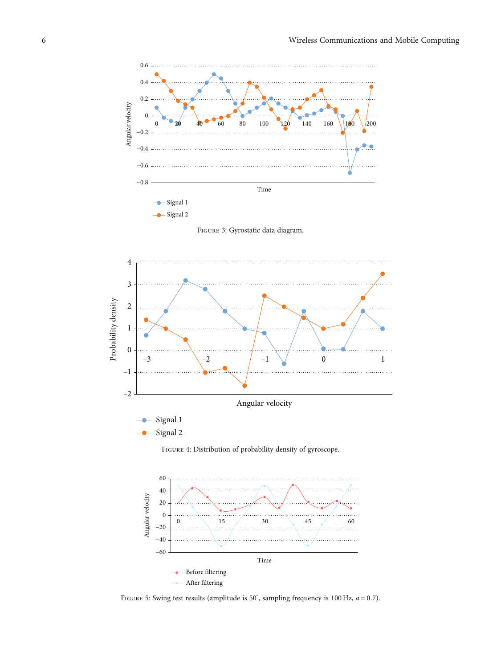<span id="page-5-0"></span>

Figure 3: Gyrostatic data diagram.



Figure 4: Distribution of probability density of gyroscope.



FIGURE 5: Swing test results (amplitude is 50°, sampling frequency is 100 Hz,  $a = 0.7$ ).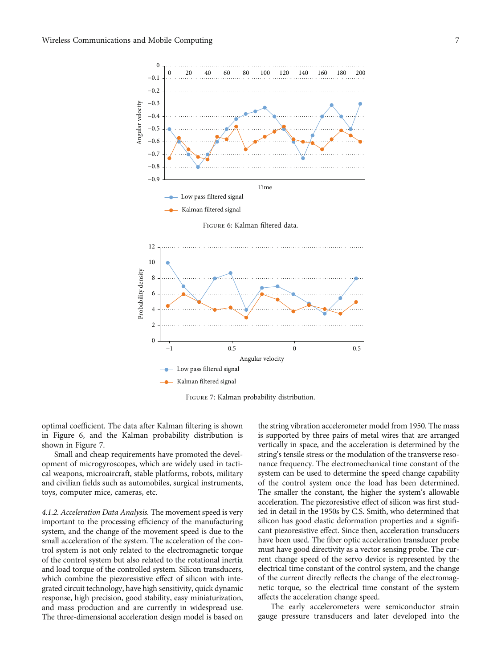

Figure 7: Kalman probability distribution.

optimal coefficient. The data after Kalman filtering is shown in Figure 6, and the Kalman probability distribution is shown in Figure 7.

Small and cheap requirements have promoted the development of microgyroscopes, which are widely used in tactical weapons, microaircraft, stable platforms, robots, military and civilian fields such as automobiles, surgical instruments, toys, computer mice, cameras, etc.

4.1.2. Acceleration Data Analysis. The movement speed is very important to the processing efficiency of the manufacturing system, and the change of the movement speed is due to the small acceleration of the system. The acceleration of the control system is not only related to the electromagnetic torque of the control system but also related to the rotational inertia and load torque of the controlled system. Silicon transducers, which combine the piezoresistive effect of silicon with integrated circuit technology, have high sensitivity, quick dynamic response, high precision, good stability, easy miniaturization, and mass production and are currently in widespread use. The three-dimensional acceleration design model is based on

the string vibration accelerometer model from 1950. The mass is supported by three pairs of metal wires that are arranged vertically in space, and the acceleration is determined by the string's tensile stress or the modulation of the transverse resonance frequency. The electromechanical time constant of the system can be used to determine the speed change capability of the control system once the load has been determined. The smaller the constant, the higher the system's allowable acceleration. The piezoresistive effect of silicon was first studied in detail in the 1950s by C.S. Smith, who determined that silicon has good elastic deformation properties and a significant piezoresistive effect. Since then, acceleration transducers have been used. The fiber optic acceleration transducer probe must have good directivity as a vector sensing probe. The current change speed of the servo device is represented by the electrical time constant of the control system, and the change of the current directly reflects the change of the electromagnetic torque, so the electrical time constant of the system affects the acceleration change speed.

The early accelerometers were semiconductor strain gauge pressure transducers and later developed into the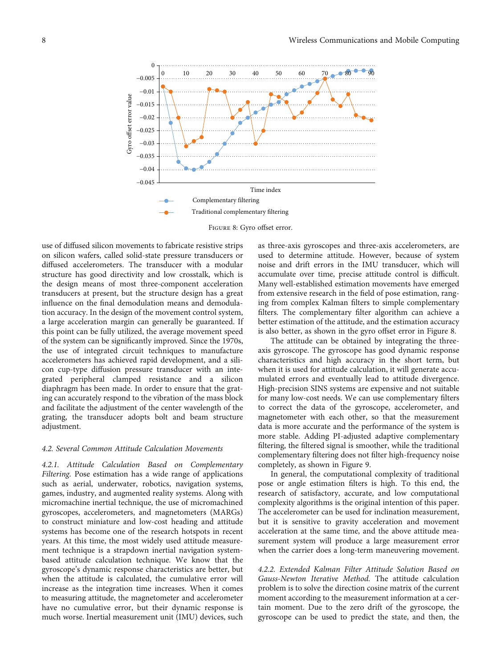

Figure 8: Gyro offset error.

use of diffused silicon movements to fabricate resistive strips on silicon wafers, called solid-state pressure transducers or diffused accelerometers. The transducer with a modular structure has good directivity and low crosstalk, which is the design means of most three-component acceleration transducers at present, but the structure design has a great influence on the final demodulation means and demodulation accuracy. In the design of the movement control system, a large acceleration margin can generally be guaranteed. If this point can be fully utilized, the average movement speed of the system can be significantly improved. Since the 1970s, the use of integrated circuit techniques to manufacture accelerometers has achieved rapid development, and a silicon cup-type diffusion pressure transducer with an integrated peripheral clamped resistance and a silicon diaphragm has been made. In order to ensure that the grating can accurately respond to the vibration of the mass block and facilitate the adjustment of the center wavelength of the grating, the transducer adopts bolt and beam structure adjustment.

### 4.2. Several Common Attitude Calculation Movements

4.2.1. Attitude Calculation Based on Complementary Filtering. Pose estimation has a wide range of applications such as aerial, underwater, robotics, navigation systems, games, industry, and augmented reality systems. Along with micromachine inertial technique, the use of micromachined gyroscopes, accelerometers, and magnetometers (MARGs) to construct miniature and low-cost heading and attitude systems has become one of the research hotspots in recent years. At this time, the most widely used attitude measurement technique is a strapdown inertial navigation systembased attitude calculation technique. We know that the gyroscope's dynamic response characteristics are better, but when the attitude is calculated, the cumulative error will increase as the integration time increases. When it comes to measuring attitude, the magnetometer and accelerometer have no cumulative error, but their dynamic response is much worse. Inertial measurement unit (IMU) devices, such

as three-axis gyroscopes and three-axis accelerometers, are used to determine attitude. However, because of system noise and drift errors in the IMU transducer, which will accumulate over time, precise attitude control is difficult. Many well-established estimation movements have emerged from extensive research in the field of pose estimation, ranging from complex Kalman filters to simple complementary filters. The complementary filter algorithm can achieve a better estimation of the attitude, and the estimation accuracy is also better, as shown in the gyro offset error in Figure 8.

The attitude can be obtained by integrating the threeaxis gyroscope. The gyroscope has good dynamic response characteristics and high accuracy in the short term, but when it is used for attitude calculation, it will generate accumulated errors and eventually lead to attitude divergence. High-precision SINS systems are expensive and not suitable for many low-cost needs. We can use complementary filters to correct the data of the gyroscope, accelerometer, and magnetometer with each other, so that the measurement data is more accurate and the performance of the system is more stable. Adding PI-adjusted adaptive complementary filtering, the filtered signal is smoother, while the traditional complementary filtering does not filter high-frequency noise completely, as shown in Figure [9](#page-8-0).

In general, the computational complexity of traditional pose or angle estimation filters is high. To this end, the research of satisfactory, accurate, and low computational complexity algorithms is the original intention of this paper. The accelerometer can be used for inclination measurement, but it is sensitive to gravity acceleration and movement acceleration at the same time, and the above attitude measurement system will produce a large measurement error when the carrier does a long-term maneuvering movement.

4.2.2. Extended Kalman Filter Attitude Solution Based on Gauss-Newton Iterative Method. The attitude calculation problem is to solve the direction cosine matrix of the current moment according to the measurement information at a certain moment. Due to the zero drift of the gyroscope, the gyroscope can be used to predict the state, and then, the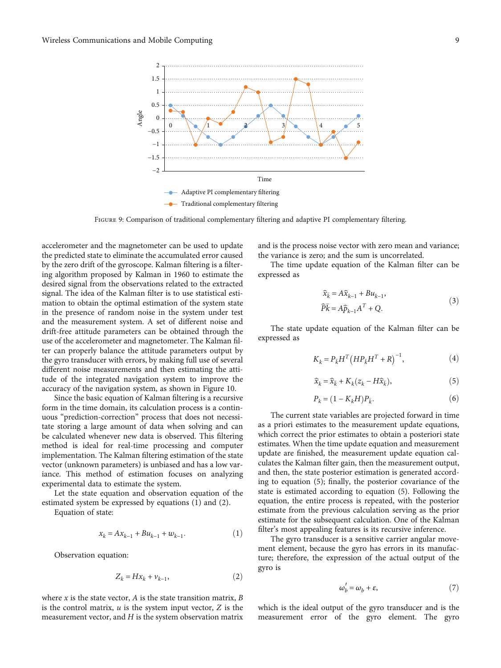<span id="page-8-0"></span>

FIGURE 9: Comparison of traditional complementary filtering and adaptive PI complementary filtering.

accelerometer and the magnetometer can be used to update the predicted state to eliminate the accumulated error caused by the zero drift of the gyroscope. Kalman filtering is a filtering algorithm proposed by Kalman in 1960 to estimate the desired signal from the observations related to the extracted signal. The idea of the Kalman filter is to use statistical estimation to obtain the optimal estimation of the system state in the presence of random noise in the system under test and the measurement system. A set of different noise and drift-free attitude parameters can be obtained through the use of the accelerometer and magnetometer. The Kalman filter can properly balance the attitude parameters output by the gyro transducer with errors, by making full use of several different noise measurements and then estimating the attitude of the integrated navigation system to improve the accuracy of the navigation system, as shown in Figure [10.](#page-9-0)

Since the basic equation of Kalman filtering is a recursive form in the time domain, its calculation process is a continuous "prediction-correction" process that does not necessitate storing a large amount of data when solving and can be calculated whenever new data is observed. This filtering method is ideal for real-time processing and computer implementation. The Kalman filtering estimation of the state vector (unknown parameters) is unbiased and has a low variance. This method of estimation focuses on analyzing experimental data to estimate the system.

Let the state equation and observation equation of the estimated system be expressed by equations (1) and (2).

Equation of state:

$$
x_k = Ax_{k-1} + Bu_{k-1} + w_{k-1}.
$$
 (1)

Observation equation:

$$
Z_k = Hx_k + v_{k-1},\tag{2}
$$

where *x* is the state vector, *A* is the state transition matrix, *B* is the control matrix, *u* is the system input vector, *Z* is the measurement vector, and *H* is the system observation matrix and is the process noise vector with zero mean and variance; the variance is zero; and the sum is uncorrelated.

The time update equation of the Kalman filter can be expressed as

$$
\widehat{x}_{\overline{k}} = A\widehat{x}_{k-1} + Bu_{k-1},
$$
  
\n
$$
\widehat{P}\overline{k} = A\widehat{p}_{k-1}A^T + Q.
$$
\n(3)

The state update equation of the Kalman filter can be expressed as

$$
K_{k} = P_{\bar{k}} H^{T} (H P_{\bar{k}} H^{T} + R)^{-1},
$$
\n(4)

$$
\widehat{x}_k = \widehat{x}_{\bar{k}} + K_k (z_k - H\widehat{x}_{\bar{k}}),\tag{5}
$$

$$
P_k = (1 - K_k H) P_{\bar{k}}.\tag{6}
$$

The current state variables are projected forward in time as a priori estimates to the measurement update equations, which correct the prior estimates to obtain a posteriori state estimates. When the time update equation and measurement update are finished, the measurement update equation calculates the Kalman filter gain, then the measurement output, and then, the state posterior estimation is generated according to equation (5); finally, the posterior covariance of the state is estimated according to equation (5). Following the equation, the entire process is repeated, with the posterior estimate from the previous calculation serving as the prior estimate for the subsequent calculation. One of the Kalman filter's most appealing features is its recursive inference.

The gyro transducer is a sensitive carrier angular movement element, because the gyro has errors in its manufacture; therefore, the expression of the actual output of the gyro is

$$
\omega_b' = \omega_b + \varepsilon,\tag{7}
$$

which is the ideal output of the gyro transducer and is the measurement error of the gyro element. The gyro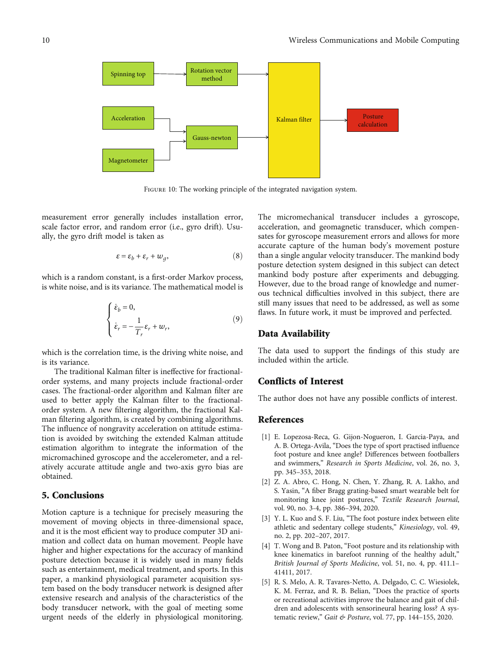<span id="page-9-0"></span>

FIGURE 10: The working principle of the integrated navigation system.

measurement error generally includes installation error, scale factor error, and random error (i.e., gyro drift). Usually, the gyro drift model is taken as

$$
\varepsilon = \varepsilon_b + \varepsilon_r + w_g,\tag{8}
$$

which is a random constant, is a first-order Markov process, is white noise, and is its variance. The mathematical model is

$$
\begin{cases} \n\dot{\varepsilon}_b = 0, \\
\dot{\varepsilon}_r = -\frac{1}{T_r} \varepsilon_r + w_r,\n\end{cases}
$$
\n(9)

which is the correlation time, is the driving white noise, and is its variance.

The traditional Kalman filter is ineffective for fractionalorder systems, and many projects include fractional-order cases. The fractional-order algorithm and Kalman filter are used to better apply the Kalman filter to the fractionalorder system. A new filtering algorithm, the fractional Kalman filtering algorithm, is created by combining algorithms. The influence of nongravity acceleration on attitude estimation is avoided by switching the extended Kalman attitude estimation algorithm to integrate the information of the micromachined gyroscope and the accelerometer, and a relatively accurate attitude angle and two-axis gyro bias are obtained.

## 5. Conclusions

Motion capture is a technique for precisely measuring the movement of moving objects in three-dimensional space, and it is the most efficient way to produce computer 3D animation and collect data on human movement. People have higher and higher expectations for the accuracy of mankind posture detection because it is widely used in many fields such as entertainment, medical treatment, and sports. In this paper, a mankind physiological parameter acquisition system based on the body transducer network is designed after extensive research and analysis of the characteristics of the body transducer network, with the goal of meeting some urgent needs of the elderly in physiological monitoring.

The micromechanical transducer includes a gyroscope, acceleration, and geomagnetic transducer, which compensates for gyroscope measurement errors and allows for more accurate capture of the human body's movement posture than a single angular velocity transducer. The mankind body posture detection system designed in this subject can detect mankind body posture after experiments and debugging. However, due to the broad range of knowledge and numerous technical difficulties involved in this subject, there are still many issues that need to be addressed, as well as some flaws. In future work, it must be improved and perfected.

#### Data Availability

The data used to support the findings of this study are included within the article.

## Conflicts of Interest

The author does not have any possible conflicts of interest.

## References

- [1] E. Lopezosa-Reca, G. Gijon-Nogueron, I. Garcia-Paya, and A. B. Ortega-Avila, "Does the type of sport practised influence foot posture and knee angle? Differences between footballers and swimmers," Research in Sports Medicine, vol. 26, no. 3, pp. 345–353, 2018.
- [2] Z. A. Abro, C. Hong, N. Chen, Y. Zhang, R. A. Lakho, and S. Yasin, "A fiber Bragg grating-based smart wearable belt for monitoring knee joint postures," Textile Research Journal, vol. 90, no. 3-4, pp. 386–394, 2020.
- [3] Y. L. Kuo and S. F. Liu, "The foot posture index between elite athletic and sedentary college students," Kinesiology, vol. 49, no. 2, pp. 202–207, 2017.
- [4] T. Wong and B. Paton, "Foot posture and its relationship with knee kinematics in barefoot running of the healthy adult," British Journal of Sports Medicine, vol. 51, no. 4, pp. 411.1– 41411, 2017.
- [5] R. S. Melo, A. R. Tavares-Netto, A. Delgado, C. C. Wiesiolek, K. M. Ferraz, and R. B. Belian, "Does the practice of sports or recreational activities improve the balance and gait of children and adolescents with sensorineural hearing loss? A systematic review," Gait & Posture, vol. 77, pp. 144–155, 2020.